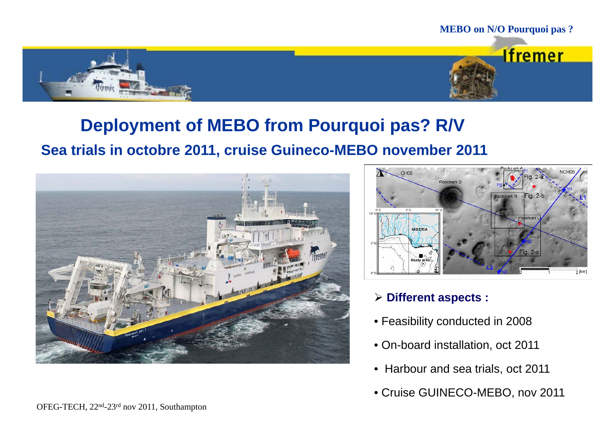

# **Deployment of MEBO from Pourquoi pas? R/V**

## **Sea trials in octobre 2011, cruise Guineco-MEBO november 2011**





## **Different aspects :**

- Feasibility conducted in 2008
- On-board installation, oct 2011
- Harbour and sea trials, oct 2011
- Cruise GUINECO-MEBO, nov 2011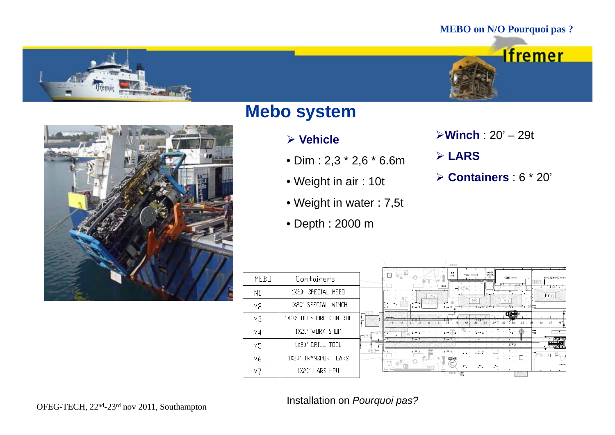





## **Mebo system**

### **Vehicle**

- Dim : 2,3 \* 2,6 \* 6.6m
- Weight in air : 10t
- Weight in water : 7,5t
- Depth : 2000 m

**Winch** : 20' – 29t

 $\overline{\phantom{a}}$ 

- **LARS**
- **Containers** : 6 \* 20'

|  | MEBO           | Containers             | MAGASIN<br>PENGUNE<br>. हि∏<br>⊖⊞∟∎<br>ATELER SOUDLINE |
|--|----------------|------------------------|--------------------------------------------------------|
|  | M1             | 1X20' SPECIAL MEBO     |                                                        |
|  | M <sub>2</sub> | 1X20' SPECIAL WINCH    |                                                        |
|  | M3             | 1X20' OFFSHORE CONTROL |                                                        |
|  | M4             | 1X20' WORK SHOP        | -180                                                   |
|  | M <sub>5</sub> | 1X20' DRILL TOOL       |                                                        |
|  | M6             | 1X20' TRANSPORT LARS   |                                                        |
|  | M7             | 1X20' LARS HPU         | <b>BOENNI</b><br>. Fill                                |

## OFEG-TECH, 22nd-23rd nov 2011, Southampton Installation on *Pourquoi pas?*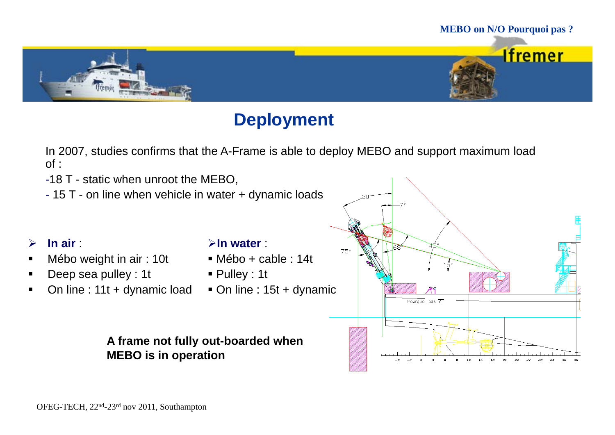

# **Deployment**

In 2007, studies confirms that the A-Frame is able to deploy MEBO and support maximum load of :

-18 T - static when unroot the MEBO,

- 15 T - on line when vehicle in water + dynamic loads

#### $\blacktriangleright$ **In air** :

- $\blacksquare$ Mébo weight in air : 10t
- × Deep sea pulley : 1t
- $\blacksquare$ On line : 11t + dynamic load

### **In water** :

- Mébo + cable : 14t
- Pulley : 1t
- On line : 15t + dynamic

## **A frame not fully out-boarded when MEBO is in operation**

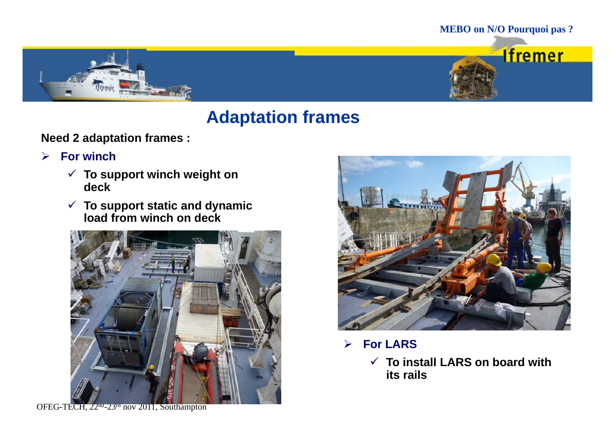



# **Adaptation frames**

**Need 2 adaptation frames :**

- $\blacktriangleright$  **For winch**
	- **To support winch weight on deck**
	- **To support static and dynamic load from winch on deck winch**



**For LARS**

 **To install LARS on board with** \_ \_ \_ \_ \_ \_ \_ \_ \_ \_ \_ \_ \_ \_ \_ \_ \_ \_ \_ \_ **its rails**

OFEG-TECH, 22<sup>nd</sup>-23<sup>rd</sup> nov 2011, Southampton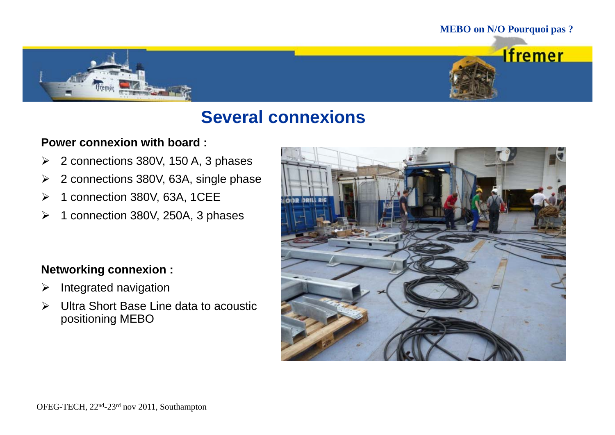



# **Several connexions**

### **Power connexion with board :**

- $\blacktriangleright$ 2 connections 380V, 150 A, 3 phases
- $\blacktriangleright$ 2 connections 380V, 63A, single phase
- $\blacktriangleright$ 1 connection 380V, 63A, 1CEE
- $\blacktriangleright$ 1 connection 380V, 250A, 3 phases

## **N t ki i Networking connexion :**

- ➤ Integrated navigation
- Ultra Short Base Line data to acoustic positioning MEBO

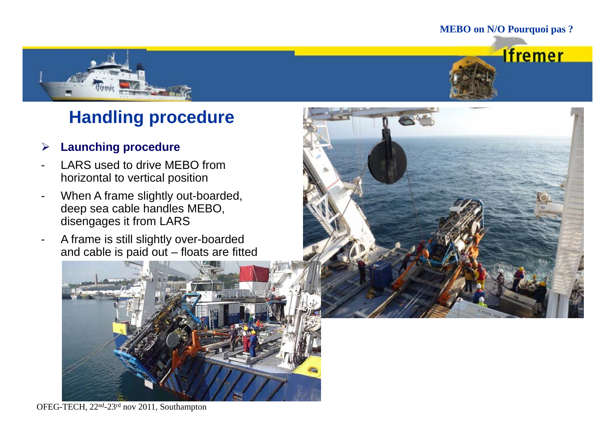



# **Handling procedure**

#### $\blacktriangleright$ **Launching procedure**

- LARS used to drive MEBO from horizontal to vertical position
- When A frame slightly out-boarded, deep sea cable handles MEBO, disengages it from LARS
- A frame is still slightly over-boarded and cable is paid out – floats are fitted





OFEG-TECH, 22nd-23rd nov 2011, Southampton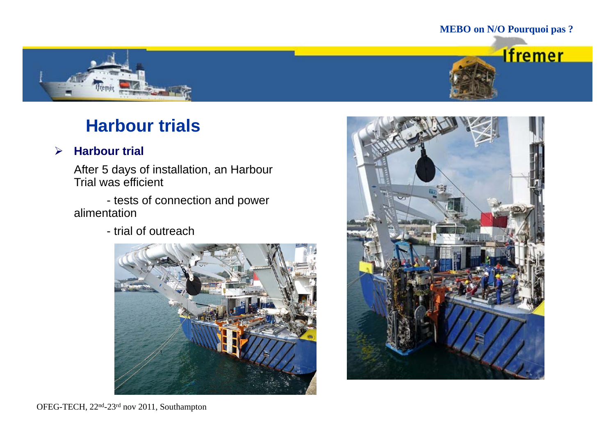**Ifremer** 



# **Harbour trials**

#### $\blacktriangleright$ **Harbour trial**

After 5 days of installation, an Harbour Trial was efficient

- tests of connection and power alimentation

- trial of outreach



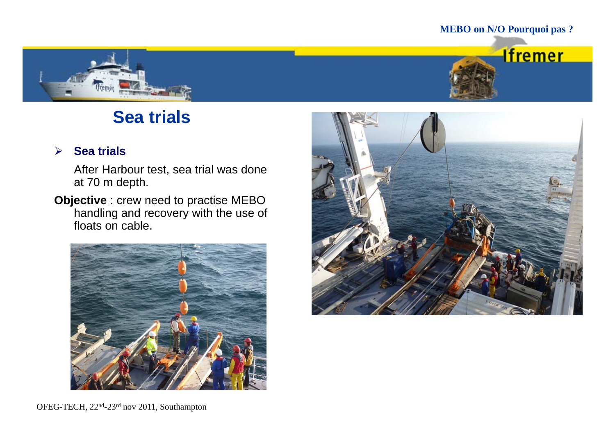



# **Sea trials**

#### $\blacktriangleright$ **Sea trials**

After Harbour test, sea trial was done at 70 m depth.

**Objective** : crew need to practise MEBO handling and recovery with the use of floats on cable.